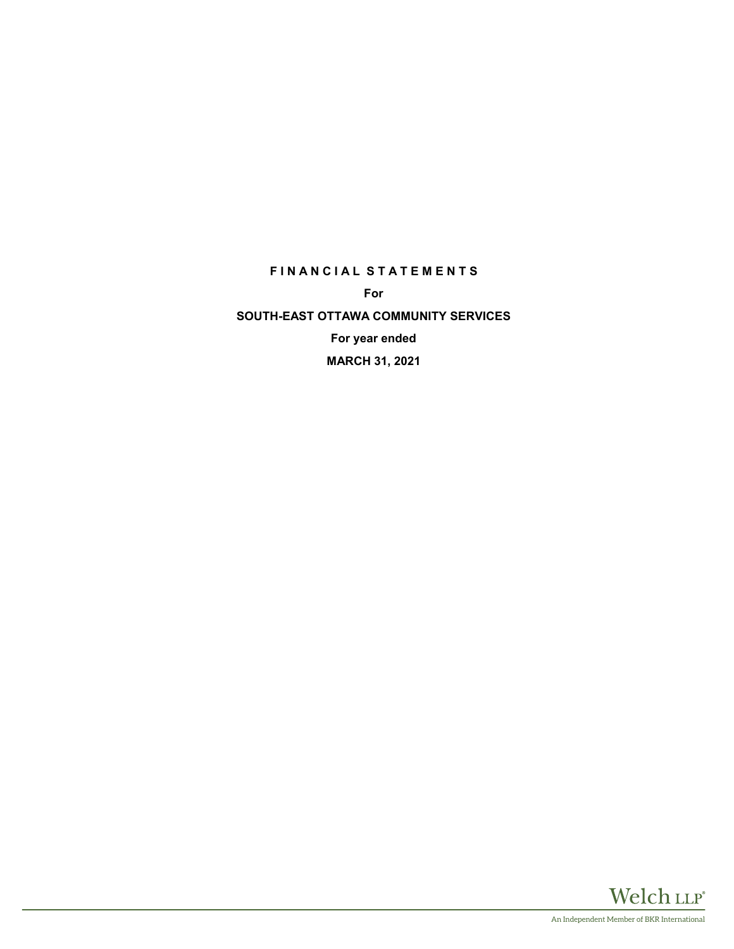# **F I N A N C I A L S T A T E M E N T S**

**For**

**SOUTH-EAST OTTAWA COMMUNITY SERVICES For year ended MARCH 31, 2021**

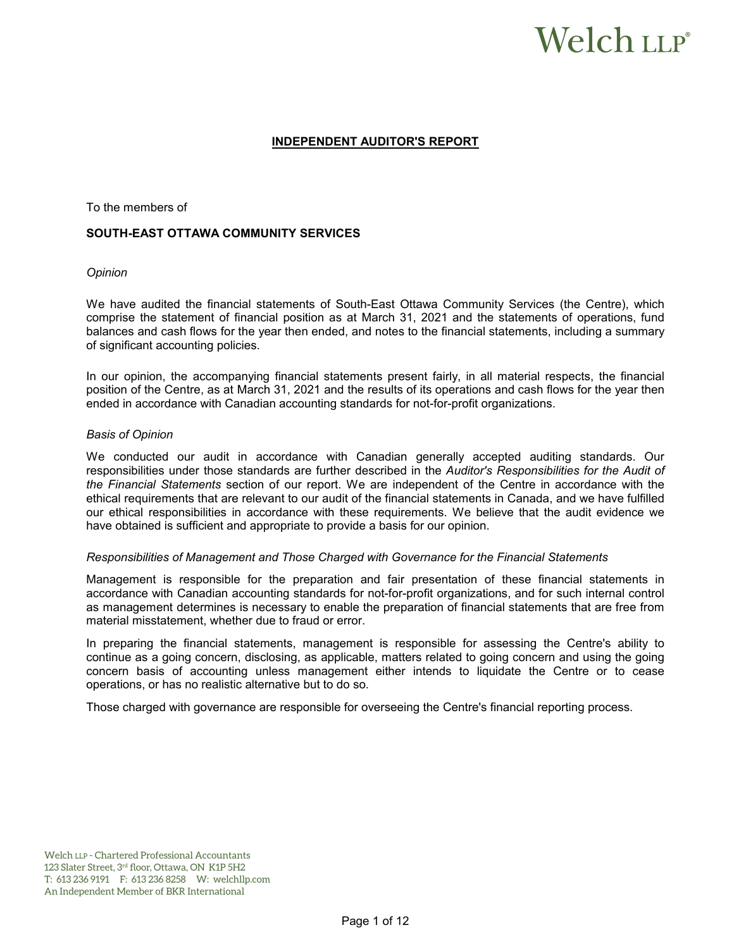# Welch LLP®

## **INDEPENDENT AUDITOR'S REPORT**

To the members of

#### **SOUTH-EAST OTTAWA COMMUNITY SERVICES**

#### *Opinion*

We have audited the financial statements of South-East Ottawa Community Services (the Centre), which comprise the statement of financial position as at March 31, 2021 and the statements of operations, fund balances and cash flows for the year then ended, and notes to the financial statements, including a summary of significant accounting policies.

In our opinion, the accompanying financial statements present fairly, in all material respects, the financial position of the Centre, as at March 31, 2021 and the results of its operations and cash flows for the year then ended in accordance with Canadian accounting standards for not-for-profit organizations.

#### *Basis of Opinion*

We conducted our audit in accordance with Canadian generally accepted auditing standards. Our responsibilities under those standards are further described in the *Auditor's Responsibilities for the Audit of the Financial Statements* section of our report. We are independent of the Centre in accordance with the ethical requirements that are relevant to our audit of the financial statements in Canada, and we have fulfilled our ethical responsibilities in accordance with these requirements. We believe that the audit evidence we have obtained is sufficient and appropriate to provide a basis for our opinion.

#### *Responsibilities of Management and Those Charged with Governance for the Financial Statements*

Management is responsible for the preparation and fair presentation of these financial statements in accordance with Canadian accounting standards for not-for-profit organizations, and for such internal control as management determines is necessary to enable the preparation of financial statements that are free from material misstatement, whether due to fraud or error.

In preparing the financial statements, management is responsible for assessing the Centre's ability to continue as a going concern, disclosing, as applicable, matters related to going concern and using the going concern basis of accounting unless management either intends to liquidate the Centre or to cease operations, or has no realistic alternative but to do so.

Those charged with governance are responsible for overseeing the Centre's financial reporting process.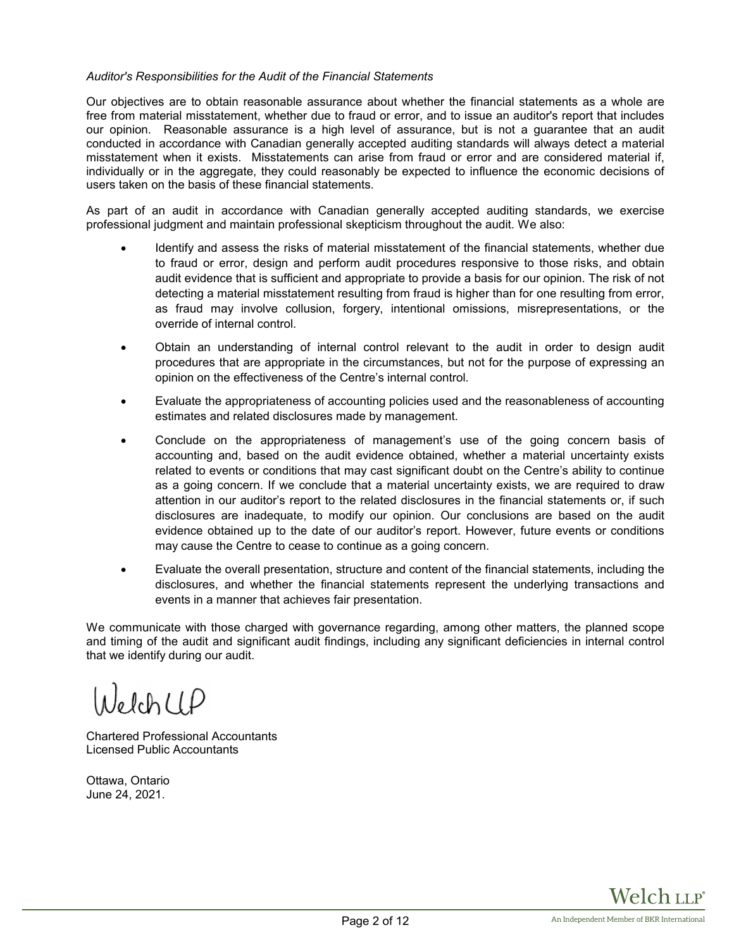## *Auditor's Responsibilities for the Audit of the Financial Statements*

Our objectives are to obtain reasonable assurance about whether the financial statements as a whole are free from material misstatement, whether due to fraud or error, and to issue an auditor's report that includes our opinion. Reasonable assurance is a high level of assurance, but is not a guarantee that an audit conducted in accordance with Canadian generally accepted auditing standards will always detect a material misstatement when it exists. Misstatements can arise from fraud or error and are considered material if, individually or in the aggregate, they could reasonably be expected to influence the economic decisions of users taken on the basis of these financial statements.

As part of an audit in accordance with Canadian generally accepted auditing standards, we exercise professional judgment and maintain professional skepticism throughout the audit. We also:

- Identify and assess the risks of material misstatement of the financial statements, whether due to fraud or error, design and perform audit procedures responsive to those risks, and obtain audit evidence that is sufficient and appropriate to provide a basis for our opinion. The risk of not detecting a material misstatement resulting from fraud is higher than for one resulting from error, as fraud may involve collusion, forgery, intentional omissions, misrepresentations, or the override of internal control.
- Obtain an understanding of internal control relevant to the audit in order to design audit procedures that are appropriate in the circumstances, but not for the purpose of expressing an opinion on the effectiveness of the Centre's internal control.
- Evaluate the appropriateness of accounting policies used and the reasonableness of accounting estimates and related disclosures made by management.
- Conclude on the appropriateness of management's use of the going concern basis of accounting and, based on the audit evidence obtained, whether a material uncertainty exists related to events or conditions that may cast significant doubt on the Centre's ability to continue as a going concern. If we conclude that a material uncertainty exists, we are required to draw attention in our auditor's report to the related disclosures in the financial statements or, if such disclosures are inadequate, to modify our opinion. Our conclusions are based on the audit evidence obtained up to the date of our auditor's report. However, future events or conditions may cause the Centre to cease to continue as a going concern.
- Evaluate the overall presentation, structure and content of the financial statements, including the disclosures, and whether the financial statements represent the underlying transactions and events in a manner that achieves fair presentation.

We communicate with those charged with governance regarding, among other matters, the planned scope and timing of the audit and significant audit findings, including any significant deficiencies in internal control that we identify during our audit.

NelchUP

Chartered Professional Accountants Licensed Public Accountants

Ottawa, Ontario June 24, 2021.

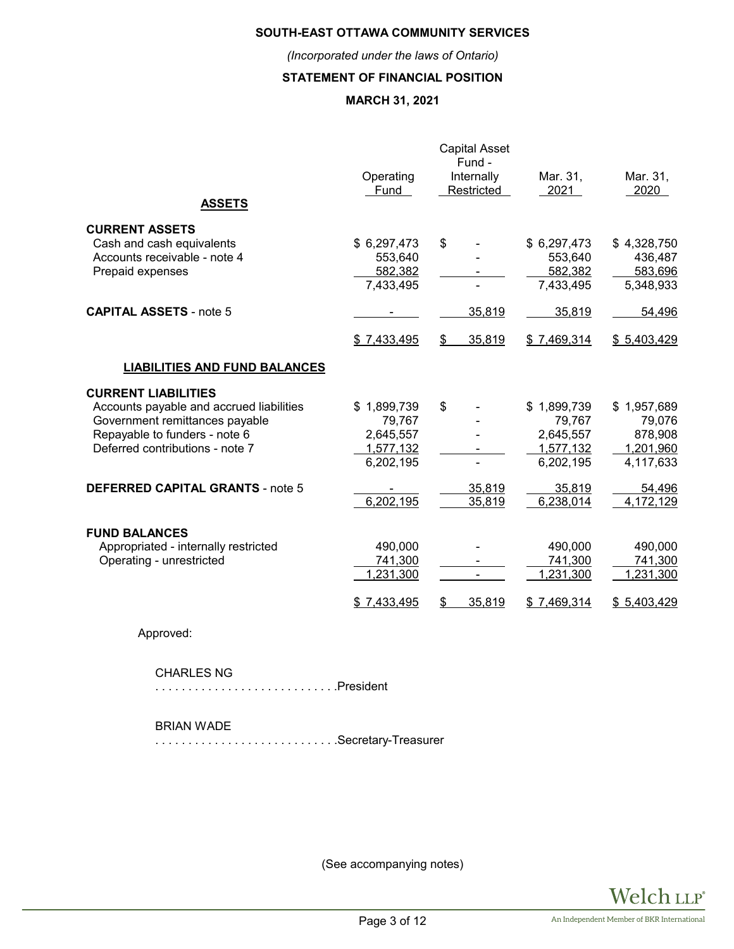# **SOUTH-EAST OTTAWA COMMUNITY SERVICES**

*(Incorporated under the laws of Ontario)*

# **STATEMENT OF FINANCIAL POSITION**

# **MARCH 31, 2021**

| <b>ASSETS</b>                                                                                                                                                                | Operating<br>Fund                                            | <b>Capital Asset</b><br>Fund -<br>Internally<br>Restricted | Mar. 31,<br>2021                                             | Mar. 31,<br>2020                                           |
|------------------------------------------------------------------------------------------------------------------------------------------------------------------------------|--------------------------------------------------------------|------------------------------------------------------------|--------------------------------------------------------------|------------------------------------------------------------|
| <b>CURRENT ASSETS</b><br>Cash and cash equivalents<br>Accounts receivable - note 4<br>Prepaid expenses                                                                       | \$6,297,473<br>553,640<br>582,382<br>7,433,495               | \$                                                         | \$6,297,473<br>553,640<br>582,382<br>7,433,495               | \$4,328,750<br>436,487<br>583,696<br>5,348,933             |
| <b>CAPITAL ASSETS - note 5</b>                                                                                                                                               | \$7,433,495                                                  | 35,819<br>35,819<br>\$                                     | 35,819<br>\$7,469,314                                        | 54,496<br>\$5,403,429                                      |
| <b>LIABILITIES AND FUND BALANCES</b>                                                                                                                                         |                                                              |                                                            |                                                              |                                                            |
| <b>CURRENT LIABILITIES</b><br>Accounts payable and accrued liabilities<br>Government remittances payable<br>Repayable to funders - note 6<br>Deferred contributions - note 7 | \$1,899,739<br>79,767<br>2,645,557<br>1,577,132<br>6,202,195 | \$                                                         | \$1,899,739<br>79,767<br>2,645,557<br>1,577,132<br>6,202,195 | \$1,957,689<br>79,076<br>878,908<br>1,201,960<br>4,117,633 |
| <b>DEFERRED CAPITAL GRANTS - note 5</b>                                                                                                                                      | 6,202,195                                                    | 35,819<br>35,819                                           | 35,819<br>6,238,014                                          | 54,496<br>4,172,129                                        |
| <b>FUND BALANCES</b><br>Appropriated - internally restricted<br>Operating - unrestricted                                                                                     | 490,000<br>741,300<br>1,231,300<br>\$7,433,495               | $\blacksquare$<br>35,819<br>S                              | 490,000<br>741,300<br>1,231,300<br>\$7,469,314               | 490,000<br>741,300<br>1,231,300<br>\$5,403,429             |

Approved:

## CHARLES NG

. . . . . . . . . . . . . . . . . . . . . . . . . . . .President

#### BRIAN WADE

. . . . . . . . . . . . . . . . . . . . . . . . . . . .Secretary-Treasurer

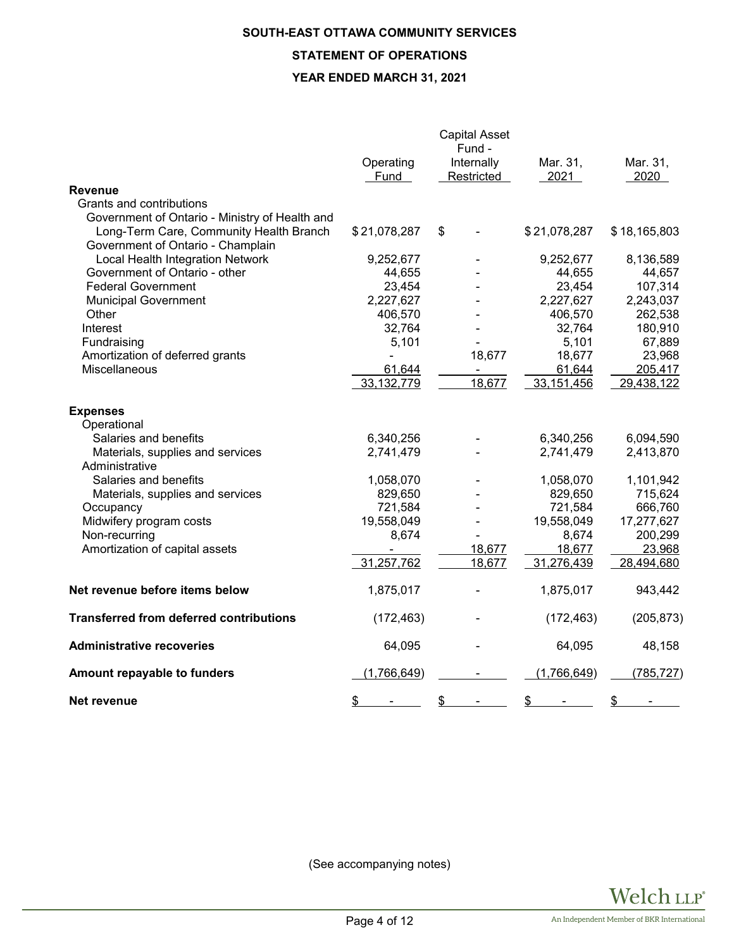# **SOUTH-EAST OTTAWA COMMUNITY SERVICES**

# **STATEMENT OF OPERATIONS**

# **YEAR ENDED MARCH 31, 2021**

|                                                |                   | <b>Capital Asset</b><br>Fund - |                  |                  |
|------------------------------------------------|-------------------|--------------------------------|------------------|------------------|
|                                                | Operating<br>Fund | Internally<br>Restricted       | Mar. 31,<br>2021 | Mar. 31,<br>2020 |
| <b>Revenue</b>                                 |                   |                                |                  |                  |
| Grants and contributions                       |                   |                                |                  |                  |
| Government of Ontario - Ministry of Health and |                   |                                |                  |                  |
| Long-Term Care, Community Health Branch        | \$21,078,287      | \$                             | \$21,078,287     | \$18,165,803     |
| Government of Ontario - Champlain              |                   |                                |                  |                  |
| Local Health Integration Network               | 9,252,677         |                                | 9,252,677        | 8,136,589        |
| Government of Ontario - other                  | 44,655            |                                | 44,655           | 44,657           |
| <b>Federal Government</b>                      | 23,454            |                                | 23,454           | 107,314          |
| <b>Municipal Government</b>                    | 2,227,627         |                                | 2,227,627        | 2,243,037        |
| Other                                          | 406,570           |                                | 406,570          | 262,538          |
| Interest                                       | 32,764            |                                | 32,764           | 180,910          |
| Fundraising                                    | 5,101             |                                | 5,101            | 67,889           |
| Amortization of deferred grants                |                   | 18,677                         | 18,677           | 23,968           |
| Miscellaneous                                  | 61,644            |                                | 61,644           | 205,417          |
|                                                | 33, 132, 779      | 18,677                         | 33,151,456       | 29,438,122       |
| <b>Expenses</b>                                |                   |                                |                  |                  |
| Operational                                    |                   |                                |                  |                  |
| Salaries and benefits                          | 6,340,256         |                                | 6,340,256        | 6,094,590        |
| Materials, supplies and services               | 2,741,479         |                                | 2,741,479        | 2,413,870        |
| Administrative                                 |                   |                                |                  |                  |
| Salaries and benefits                          | 1,058,070         |                                | 1,058,070        | 1,101,942        |
| Materials, supplies and services               | 829,650           |                                | 829,650          | 715,624          |
| Occupancy                                      | 721,584           |                                | 721,584          | 666,760          |
| Midwifery program costs                        | 19,558,049        |                                | 19,558,049       | 17,277,627       |
| Non-recurring                                  | 8,674             |                                | 8,674            | 200,299          |
| Amortization of capital assets                 | ٠                 | 18,677                         | 18,677           | 23,968           |
|                                                | 31,257,762        | 18,677                         | 31,276,439       | 28,494,680       |
| Net revenue before items below                 | 1,875,017         |                                | 1,875,017        | 943,442          |
| <b>Transferred from deferred contributions</b> | (172, 463)        |                                | (172, 463)       | (205, 873)       |
| <b>Administrative recoveries</b>               | 64,095            |                                | 64,095           | 48,158           |
| Amount repayable to funders                    | (1,766,649)       |                                | (1,766,649)      | (785, 727)       |
| Net revenue                                    | \$                | \$                             | \$               | \$               |

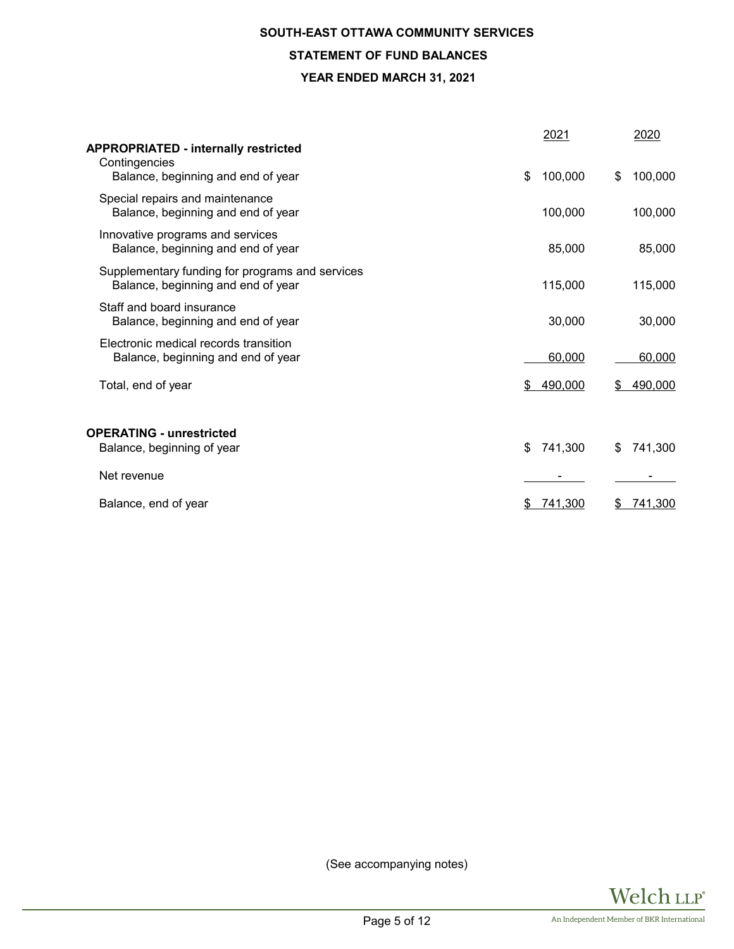# **SOUTH-EAST OTTAWA COMMUNITY SERVICES STATEMENT OF FUND BALANCES YEAR ENDED MARCH 31, 2021**

| <b>APPROPRIATED - internally restricted</b><br>Contingencies                          | 2021          | 2020          |
|---------------------------------------------------------------------------------------|---------------|---------------|
| Balance, beginning and end of year                                                    | \$<br>100,000 | \$<br>100,000 |
| Special repairs and maintenance<br>Balance, beginning and end of year                 | 100,000       | 100,000       |
| Innovative programs and services<br>Balance, beginning and end of year                | 85,000        | 85,000        |
| Supplementary funding for programs and services<br>Balance, beginning and end of year | 115,000       | 115,000       |
| Staff and board insurance<br>Balance, beginning and end of year                       | 30,000        | 30,000        |
| Electronic medical records transition<br>Balance, beginning and end of year           | 60,000        | 60,000        |
| Total, end of year                                                                    | 490,000<br>S  | 490,000<br>\$ |
| <b>OPERATING - unrestricted</b>                                                       |               |               |
| Balance, beginning of year                                                            | \$<br>741,300 | 741,300<br>\$ |
| Net revenue                                                                           |               |               |
| Balance, end of year                                                                  | 741,300<br>S  | 741,300<br>S  |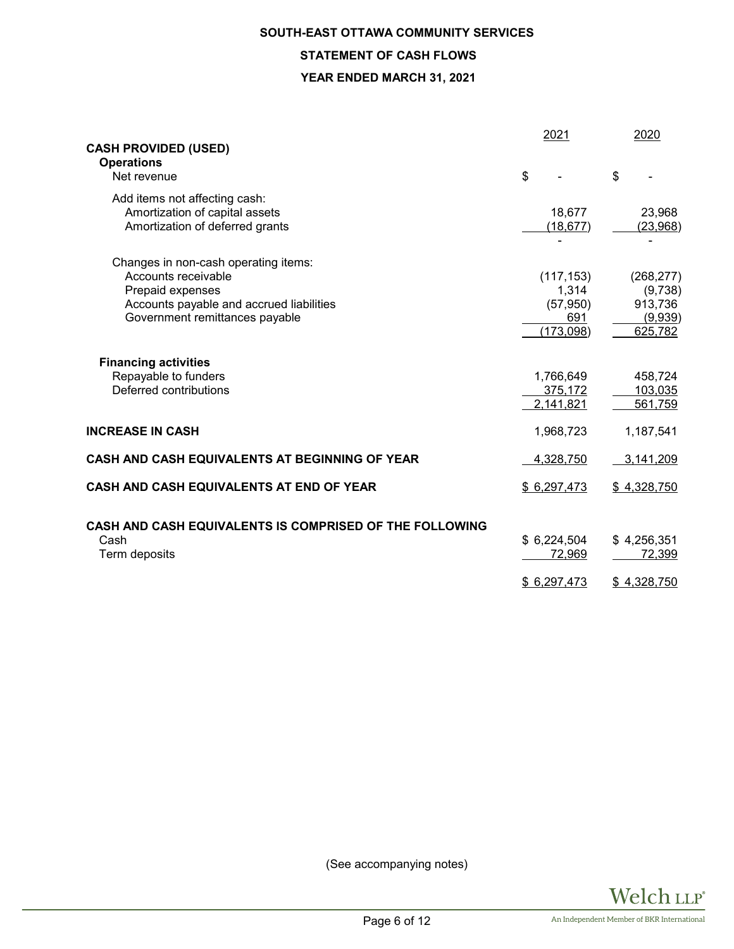# **SOUTH-EAST OTTAWA COMMUNITY SERVICES STATEMENT OF CASH FLOWS**

## **YEAR ENDED MARCH 31, 2021**

| <b>CASH PROVIDED (USED)</b>                                                                                                                                   | 2021                                                  | 2020                                                   |
|---------------------------------------------------------------------------------------------------------------------------------------------------------------|-------------------------------------------------------|--------------------------------------------------------|
| <b>Operations</b><br>Net revenue                                                                                                                              | \$                                                    | \$                                                     |
| Add items not affecting cash:<br>Amortization of capital assets<br>Amortization of deferred grants                                                            | 18,677<br>(18, 677)                                   | 23,968<br>(23,968)                                     |
| Changes in non-cash operating items:<br>Accounts receivable<br>Prepaid expenses<br>Accounts payable and accrued liabilities<br>Government remittances payable | (117, 153)<br>1,314<br>(57, 950)<br>691<br>(173, 098) | (268, 277)<br>(9,738)<br>913,736<br>(9,939)<br>625,782 |
| <b>Financing activities</b><br>Repayable to funders<br>Deferred contributions                                                                                 | 1,766,649<br>375,172<br>2,141,821                     | 458,724<br>103,035<br>561,759                          |
| <b>INCREASE IN CASH</b>                                                                                                                                       | 1,968,723                                             | 1,187,541                                              |
| CASH AND CASH EQUIVALENTS AT BEGINNING OF YEAR                                                                                                                | 4,328,750                                             | 3,141,209                                              |
| CASH AND CASH EQUIVALENTS AT END OF YEAR                                                                                                                      | \$6,297,473                                           | \$4,328,750                                            |
| <b>CASH AND CASH EQUIVALENTS IS COMPRISED OF THE FOLLOWING</b><br>Cash<br>Term deposits                                                                       | \$6,224,504<br>72,969<br>\$6,297,473                  | \$4,256,351<br>72,399<br>\$4,328,750                   |

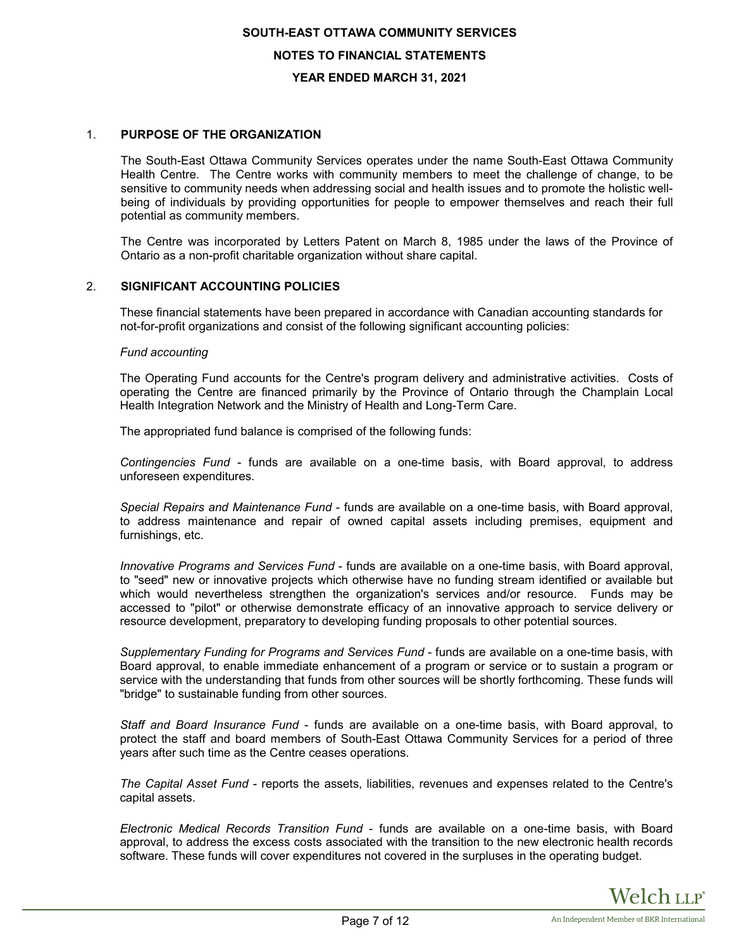# 1. **PURPOSE OF THE ORGANIZATION**

The South-East Ottawa Community Services operates under the name South-East Ottawa Community Health Centre. The Centre works with community members to meet the challenge of change, to be sensitive to community needs when addressing social and health issues and to promote the holistic wellbeing of individuals by providing opportunities for people to empower themselves and reach their full potential as community members.

The Centre was incorporated by Letters Patent on March 8, 1985 under the laws of the Province of Ontario as a non-profit charitable organization without share capital.

#### 2. **SIGNIFICANT ACCOUNTING POLICIES**

These financial statements have been prepared in accordance with Canadian accounting standards for not-for-profit organizations and consist of the following significant accounting policies:

#### *Fund accounting*

The Operating Fund accounts for the Centre's program delivery and administrative activities. Costs of operating the Centre are financed primarily by the Province of Ontario through the Champlain Local Health Integration Network and the Ministry of Health and Long-Term Care.

The appropriated fund balance is comprised of the following funds:

*Contingencies Fund* - funds are available on a one-time basis, with Board approval, to address unforeseen expenditures.

*Special Repairs and Maintenance Fund* - funds are available on a one-time basis, with Board approval, to address maintenance and repair of owned capital assets including premises, equipment and furnishings, etc.

*Innovative Programs and Services Fund* - funds are available on a one-time basis, with Board approval, to "seed" new or innovative projects which otherwise have no funding stream identified or available but which would nevertheless strengthen the organization's services and/or resource. Funds may be accessed to "pilot" or otherwise demonstrate efficacy of an innovative approach to service delivery or resource development, preparatory to developing funding proposals to other potential sources.

*Supplementary Funding for Programs and Services Fund* - funds are available on a one-time basis, with Board approval, to enable immediate enhancement of a program or service or to sustain a program or service with the understanding that funds from other sources will be shortly forthcoming. These funds will "bridge" to sustainable funding from other sources.

*Staff and Board Insurance Fund* - funds are available on a one-time basis, with Board approval, to protect the staff and board members of South-East Ottawa Community Services for a period of three years after such time as the Centre ceases operations.

*The Capital Asset Fund* - reports the assets, liabilities, revenues and expenses related to the Centre's capital assets.

*Electronic Medical Records Transition Fund* - funds are available on a one-time basis, with Board approval, to address the excess costs associated with the transition to the new electronic health records software. These funds will cover expenditures not covered in the surpluses in the operating budget.

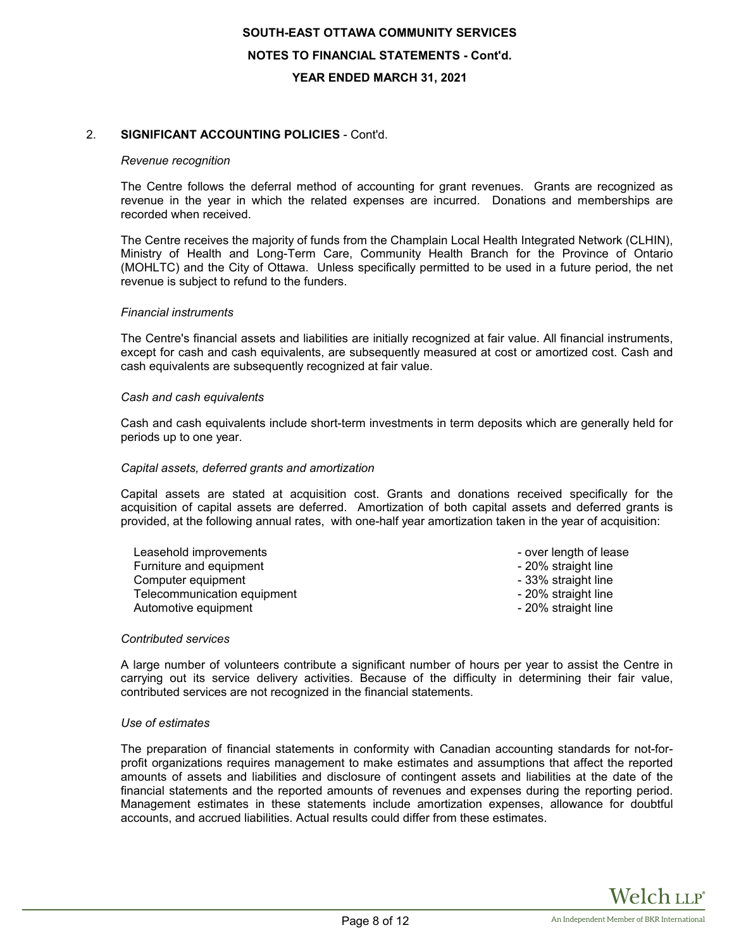## 2. **SIGNIFICANT ACCOUNTING POLICIES** - Cont'd.

#### *Revenue recognition*

The Centre follows the deferral method of accounting for grant revenues. Grants are recognized as revenue in the year in which the related expenses are incurred. Donations and memberships are recorded when received.

The Centre receives the majority of funds from the Champlain Local Health Integrated Network (CLHIN), Ministry of Health and Long-Term Care, Community Health Branch for the Province of Ontario (MOHLTC) and the City of Ottawa. Unless specifically permitted to be used in a future period, the net revenue is subject to refund to the funders.

#### *Financial instruments*

The Centre's financial assets and liabilities are initially recognized at fair value. All financial instruments, except for cash and cash equivalents, are subsequently measured at cost or amortized cost. Cash and cash equivalents are subsequently recognized at fair value.

#### *Cash and cash equivalents*

Cash and cash equivalents include short-term investments in term deposits which are generally held for periods up to one year.

#### *Capital assets, deferred grants and amortization*

Capital assets are stated at acquisition cost. Grants and donations received specifically for the acquisition of capital assets are deferred. Amortization of both capital assets and deferred grants is provided, at the following annual rates, with one-half year amortization taken in the year of acquisition:

| Leasehold improvements      | - over length of lease |
|-----------------------------|------------------------|
| Furniture and equipment     | - 20% straight line    |
| Computer equipment          | - 33% straight line    |
| Telecommunication equipment | - 20% straight line    |
| Automotive equipment        | - 20% straight line    |

#### *Contributed services*

A large number of volunteers contribute a significant number of hours per year to assist the Centre in carrying out its service delivery activities. Because of the difficulty in determining their fair value, contributed services are not recognized in the financial statements.

#### *Use of estimates*

The preparation of financial statements in conformity with Canadian accounting standards for not-forprofit organizations requires management to make estimates and assumptions that affect the reported amounts of assets and liabilities and disclosure of contingent assets and liabilities at the date of the financial statements and the reported amounts of revenues and expenses during the reporting period. Management estimates in these statements include amortization expenses, allowance for doubtful accounts, and accrued liabilities. Actual results could differ from these estimates.

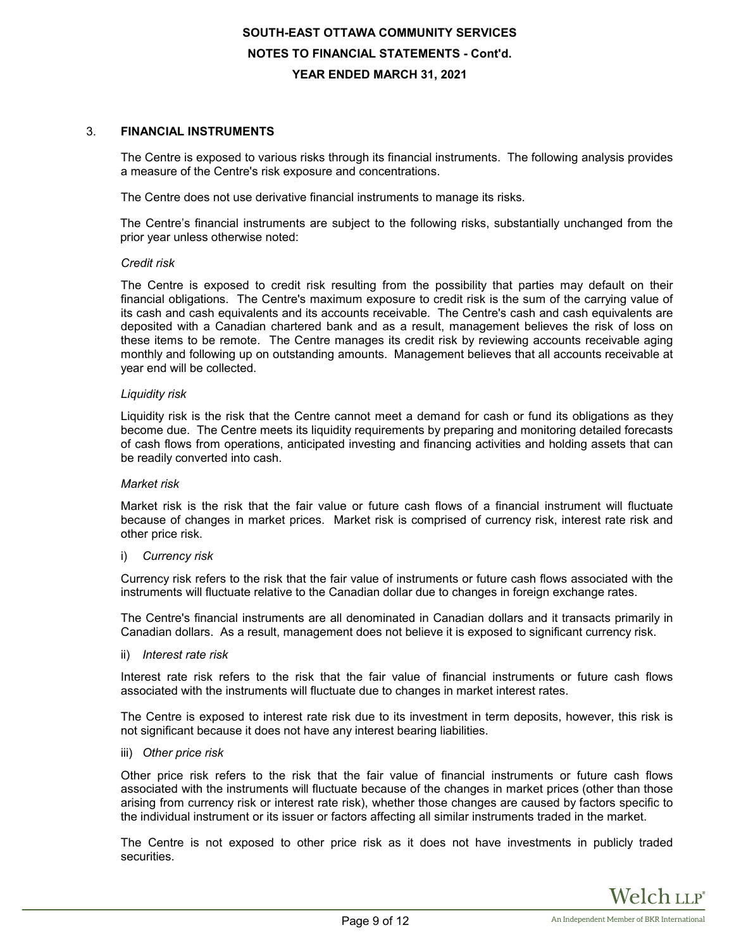## 3. **FINANCIAL INSTRUMENTS**

The Centre is exposed to various risks through its financial instruments. The following analysis provides a measure of the Centre's risk exposure and concentrations.

The Centre does not use derivative financial instruments to manage its risks.

The Centre's financial instruments are subject to the following risks, substantially unchanged from the prior year unless otherwise noted:

#### *Credit risk*

The Centre is exposed to credit risk resulting from the possibility that parties may default on their financial obligations. The Centre's maximum exposure to credit risk is the sum of the carrying value of its cash and cash equivalents and its accounts receivable. The Centre's cash and cash equivalents are deposited with a Canadian chartered bank and as a result, management believes the risk of loss on these items to be remote. The Centre manages its credit risk by reviewing accounts receivable aging monthly and following up on outstanding amounts. Management believes that all accounts receivable at year end will be collected.

#### *Liquidity risk*

Liquidity risk is the risk that the Centre cannot meet a demand for cash or fund its obligations as they become due. The Centre meets its liquidity requirements by preparing and monitoring detailed forecasts of cash flows from operations, anticipated investing and financing activities and holding assets that can be readily converted into cash.

#### *Market risk*

Market risk is the risk that the fair value or future cash flows of a financial instrument will fluctuate because of changes in market prices. Market risk is comprised of currency risk, interest rate risk and other price risk.

#### i) *Currency risk*

Currency risk refers to the risk that the fair value of instruments or future cash flows associated with the instruments will fluctuate relative to the Canadian dollar due to changes in foreign exchange rates.

The Centre's financial instruments are all denominated in Canadian dollars and it transacts primarily in Canadian dollars. As a result, management does not believe it is exposed to significant currency risk.

ii) *Interest rate risk*

Interest rate risk refers to the risk that the fair value of financial instruments or future cash flows associated with the instruments will fluctuate due to changes in market interest rates.

The Centre is exposed to interest rate risk due to its investment in term deposits, however, this risk is not significant because it does not have any interest bearing liabilities.

iii) *Other price risk*

Other price risk refers to the risk that the fair value of financial instruments or future cash flows associated with the instruments will fluctuate because of the changes in market prices (other than those arising from currency risk or interest rate risk), whether those changes are caused by factors specific to the individual instrument or its issuer or factors affecting all similar instruments traded in the market.

The Centre is not exposed to other price risk as it does not have investments in publicly traded securities.

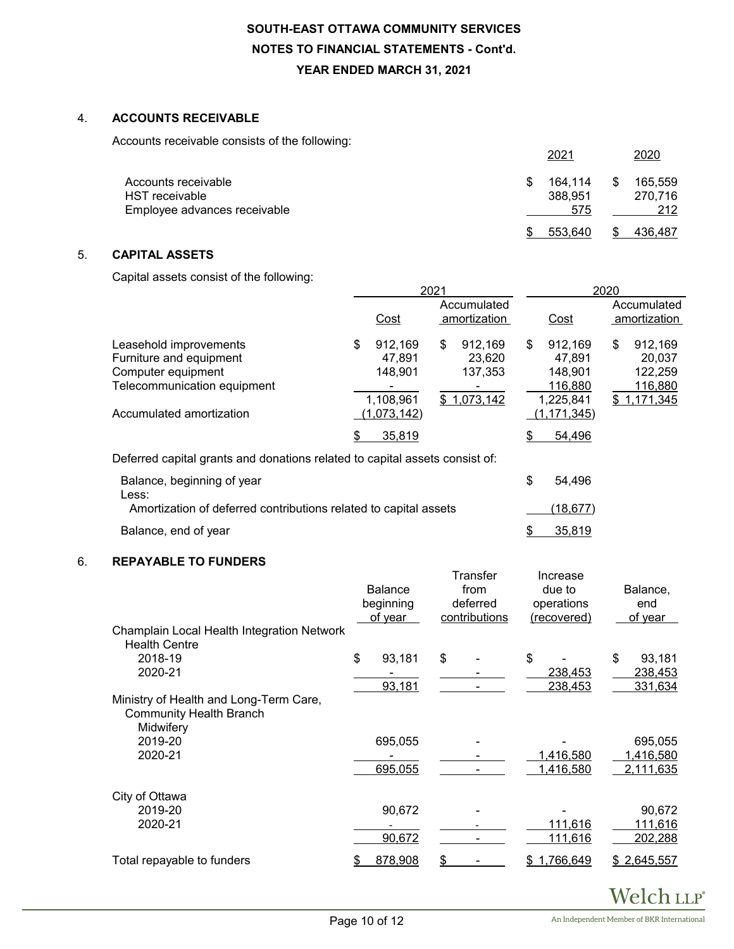# 4. **ACCOUNTS RECEIVABLE**

Accounts receivable consists of the following:

|                                       |   | $202^{\circ}$      |   | 2020               |
|---------------------------------------|---|--------------------|---|--------------------|
| Accounts receivable<br>HST receivable | S | 164.114<br>388,951 | S | 165,559<br>270.716 |
| Employee advances receivable          |   | 575                |   | 212                |
|                                       |   | 553.640            |   | 436.487            |

# 5. **CAPITAL ASSETS**

Capital assets consist of the following:

|                                                                                                                                    | 2021                                                           |                             |                                             |    |                                                                       | 2020                        |                                                        |  |  |
|------------------------------------------------------------------------------------------------------------------------------------|----------------------------------------------------------------|-----------------------------|---------------------------------------------|----|-----------------------------------------------------------------------|-----------------------------|--------------------------------------------------------|--|--|
|                                                                                                                                    | Cost                                                           | Accumulated<br>amortization |                                             |    | Cost                                                                  | Accumulated<br>amortization |                                                        |  |  |
| Leasehold improvements<br>Furniture and equipment<br>Computer equipment<br>Telecommunication equipment<br>Accumulated amortization | \$<br>912,169<br>47.891<br>148.901<br>1,108,961<br>(1,073,142) | S                           | 912,169<br>23.620<br>137,353<br>\$1,073,142 | \$ | 912,169<br>47.891<br>148.901<br>116,880<br>1,225,841<br>(1, 171, 345) | \$                          | 912,169<br>20.037<br>122,259<br>116,880<br>\$1,171,345 |  |  |
|                                                                                                                                    | \$<br>35,819                                                   |                             |                                             |    | 54,496                                                                |                             |                                                        |  |  |

Deferred capital grants and donations related to capital assets consist of:

| Balance, beginning of year                                                | 54.496    |
|---------------------------------------------------------------------------|-----------|
| Less:<br>Amortization of deferred contributions related to capital assets | (18, 677) |
| Balance, end of year                                                      | 35.819    |

# 6. **REPAYABLE TO FUNDERS**

| Champlain Local Health Integration Network<br><b>Health Centre</b>                    | <b>Balance</b><br>beginning<br>of year | Transfer<br>from<br>deferred<br>contributions | Increase<br>due to<br>operations<br>(recovered) | Balance,<br>end<br>of year |
|---------------------------------------------------------------------------------------|----------------------------------------|-----------------------------------------------|-------------------------------------------------|----------------------------|
| 2018-19                                                                               | \$<br>93,181                           | \$                                            | \$                                              | \$<br>93,181               |
| 2020-21                                                                               |                                        |                                               | 238,453                                         | 238,453                    |
|                                                                                       | 93,181                                 |                                               | 238,453                                         | 331,634                    |
| Ministry of Health and Long-Term Care,<br><b>Community Health Branch</b><br>Midwifery |                                        |                                               |                                                 |                            |
| 2019-20                                                                               | 695,055                                |                                               |                                                 | 695,055                    |
| 2020-21                                                                               |                                        |                                               | 1,416,580                                       | 1,416,580                  |
|                                                                                       | 695,055                                |                                               | 1,416,580                                       | 2,111,635                  |
| City of Ottawa                                                                        |                                        |                                               |                                                 |                            |
| 2019-20                                                                               | 90,672                                 |                                               |                                                 | 90,672                     |
| 2020-21                                                                               |                                        |                                               | 111,616                                         | 111,616                    |
|                                                                                       | 90,672                                 |                                               | 111,616                                         | 202,288                    |
| Total repayable to funders                                                            | 878,908                                | \$                                            | 1,766,649<br>S.                                 | \$2,645,557                |

Welch LLP®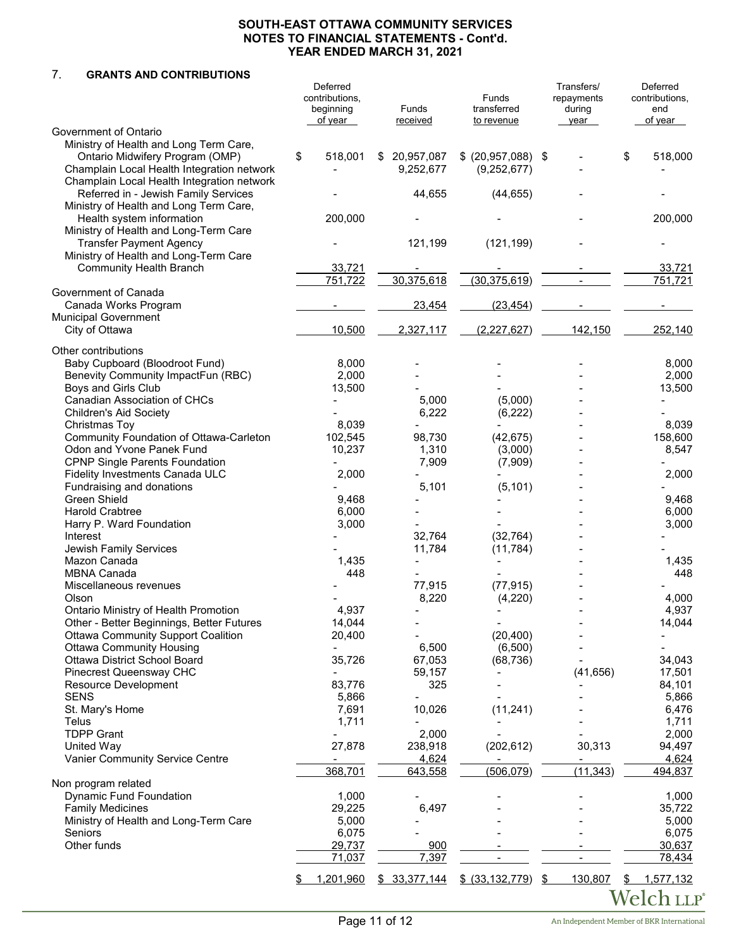# 7. **GRANTS AND CONTRIBUTIONS**

|                                                                          | Deferred<br>contributions,<br>beginning<br>of year | Funds<br>received        | Funds<br>transferred<br>to revenue | Transfers/<br>repayments<br>during<br>year |                       | Deferred<br>contributions,<br>end<br>of year |
|--------------------------------------------------------------------------|----------------------------------------------------|--------------------------|------------------------------------|--------------------------------------------|-----------------------|----------------------------------------------|
| Government of Ontario                                                    |                                                    |                          |                                    |                                            |                       |                                              |
| Ministry of Health and Long Term Care,                                   |                                                    |                          |                                    |                                            |                       |                                              |
| Ontario Midwifery Program (OMP)                                          | \$<br>518,001                                      | \$ 20,957,087            | \$ (20,957,088) \$                 |                                            |                       | \$<br>518,000                                |
| Champlain Local Health Integration network                               |                                                    | 9,252,677                | (9, 252, 677)                      |                                            |                       |                                              |
| Champlain Local Health Integration network                               |                                                    |                          |                                    |                                            |                       |                                              |
| Referred in - Jewish Family Services                                     |                                                    | 44,655                   | (44, 655)                          |                                            |                       |                                              |
| Ministry of Health and Long Term Care,                                   |                                                    |                          |                                    |                                            |                       |                                              |
| Health system information                                                | 200,000                                            |                          |                                    |                                            |                       | 200,000                                      |
| Ministry of Health and Long-Term Care                                    |                                                    |                          |                                    |                                            |                       |                                              |
| <b>Transfer Payment Agency</b>                                           |                                                    | 121,199                  | (121, 199)                         |                                            |                       |                                              |
| Ministry of Health and Long-Term Care                                    |                                                    |                          |                                    |                                            |                       |                                              |
| <b>Community Health Branch</b>                                           | 33,721                                             |                          |                                    |                                            |                       | 33,721                                       |
|                                                                          | 751,722                                            | 30,375,618               | (30, 375, 619)                     |                                            |                       | 751,721                                      |
| Government of Canada                                                     |                                                    |                          |                                    |                                            |                       |                                              |
| Canada Works Program                                                     |                                                    | 23,454                   | (23, 454)                          |                                            |                       |                                              |
| <b>Municipal Government</b>                                              |                                                    |                          |                                    |                                            |                       |                                              |
| City of Ottawa                                                           | 10,500                                             | 2,327,117                | (2, 227, 627)                      |                                            | 142,150               | 252,140                                      |
|                                                                          |                                                    |                          |                                    |                                            |                       |                                              |
| Other contributions                                                      |                                                    |                          |                                    |                                            |                       |                                              |
| Baby Cupboard (Bloodroot Fund)                                           | 8,000                                              |                          |                                    |                                            |                       | 8,000                                        |
| Benevity Community ImpactFun (RBC)                                       | 2,000                                              |                          |                                    |                                            |                       | 2,000                                        |
| Boys and Girls Club                                                      | 13,500                                             |                          |                                    |                                            |                       | 13,500                                       |
| Canadian Association of CHCs                                             |                                                    | 5,000                    | (5,000)                            |                                            |                       |                                              |
| <b>Children's Aid Society</b>                                            |                                                    | 6,222                    | (6, 222)                           |                                            |                       |                                              |
| Christmas Toy                                                            | 8,039                                              |                          |                                    |                                            |                       | 8,039                                        |
| Community Foundation of Ottawa-Carleton<br>Odon and Yvone Panek Fund     | 102,545                                            | 98,730                   | (42, 675)                          |                                            |                       | 158,600                                      |
|                                                                          | 10,237                                             | 1,310                    | (3,000)                            |                                            |                       | 8,547                                        |
| <b>CPNP Single Parents Foundation</b><br>Fidelity Investments Canada ULC | 2,000                                              | 7,909                    | (7,909)                            |                                            |                       | 2,000                                        |
|                                                                          |                                                    |                          |                                    |                                            |                       |                                              |
| Fundraising and donations<br><b>Green Shield</b>                         | 9,468                                              | 5,101                    | (5, 101)                           |                                            |                       | 9,468                                        |
|                                                                          |                                                    |                          |                                    |                                            |                       |                                              |
| <b>Harold Crabtree</b><br>Harry P. Ward Foundation                       | 6,000<br>3,000                                     |                          |                                    |                                            |                       | 6,000<br>3,000                               |
| Interest                                                                 |                                                    | 32,764                   | (32, 764)                          |                                            |                       |                                              |
| Jewish Family Services                                                   |                                                    | 11,784                   | (11, 784)                          |                                            |                       |                                              |
| Mazon Canada                                                             | 1,435                                              |                          |                                    |                                            |                       | 1,435                                        |
| <b>MBNA Canada</b>                                                       | 448                                                |                          |                                    |                                            |                       | 448                                          |
| Miscellaneous revenues                                                   |                                                    | 77,915                   | (77, 915)                          |                                            |                       |                                              |
| Olson                                                                    |                                                    | 8,220                    | (4, 220)                           |                                            |                       | 4,000                                        |
| Ontario Ministry of Health Promotion                                     | 4,937                                              |                          |                                    |                                            |                       | 4,937                                        |
| Other - Better Beginnings, Better Futures                                | 14,044                                             |                          |                                    |                                            |                       | 14,044                                       |
| <b>Ottawa Community Support Coalition</b>                                | 20,400                                             |                          | (20, 400)                          |                                            |                       |                                              |
| <b>Ottawa Community Housing</b>                                          |                                                    | 6,500                    | (6,500)                            |                                            |                       |                                              |
| Ottawa District School Board                                             | 35,726                                             | 67,053                   | (68, 736)                          |                                            |                       | 34,043                                       |
| Pinecrest Queensway CHC                                                  |                                                    | 59,157                   |                                    |                                            | (41, 656)             | 17,501                                       |
| Resource Development                                                     | 83,776                                             | 325                      |                                    |                                            |                       | 84,101                                       |
| <b>SENS</b>                                                              | 5,866                                              |                          |                                    |                                            |                       | 5,866                                        |
| St. Mary's Home                                                          | 7,691                                              | 10,026                   | (11, 241)                          |                                            |                       | 6,476                                        |
| Telus                                                                    | 1,711                                              | $\overline{\phantom{0}}$ |                                    |                                            |                       | 1,711                                        |
| <b>TDPP Grant</b>                                                        |                                                    | 2,000                    |                                    |                                            |                       | 2,000                                        |
| United Way                                                               | 27,878                                             | 238,918                  | (202, 612)                         |                                            | 30,313                | 94,497                                       |
| Vanier Community Service Centre                                          |                                                    | 4,624                    |                                    |                                            |                       | 4,624                                        |
|                                                                          | 368,701                                            | 643,558                  | (506, 079)                         |                                            | $\overline{(11,343)}$ | 494,837                                      |
| Non program related                                                      |                                                    |                          |                                    |                                            |                       |                                              |
| <b>Dynamic Fund Foundation</b>                                           | 1,000                                              |                          |                                    |                                            |                       | 1,000                                        |
| <b>Family Medicines</b>                                                  | 29,225                                             | 6,497                    |                                    |                                            |                       | 35,722                                       |
| Ministry of Health and Long-Term Care                                    | 5,000                                              |                          |                                    |                                            |                       | 5,000                                        |
| Seniors                                                                  | 6,075                                              |                          |                                    |                                            |                       | 6,075                                        |
| Other funds                                                              | 29,737                                             | 900                      |                                    |                                            |                       | 30,637                                       |
|                                                                          | 71,037                                             | 7,397                    |                                    |                                            | $\blacksquare$        | 78,434                                       |
|                                                                          |                                                    |                          |                                    |                                            |                       |                                              |
|                                                                          | \$<br>1,201,960                                    | \$33,377,144             | \$ (33, 132, 779)                  | \$                                         | 130,807               | \$<br>1,577,132                              |
|                                                                          |                                                    |                          |                                    |                                            |                       | Welch llp®                                   |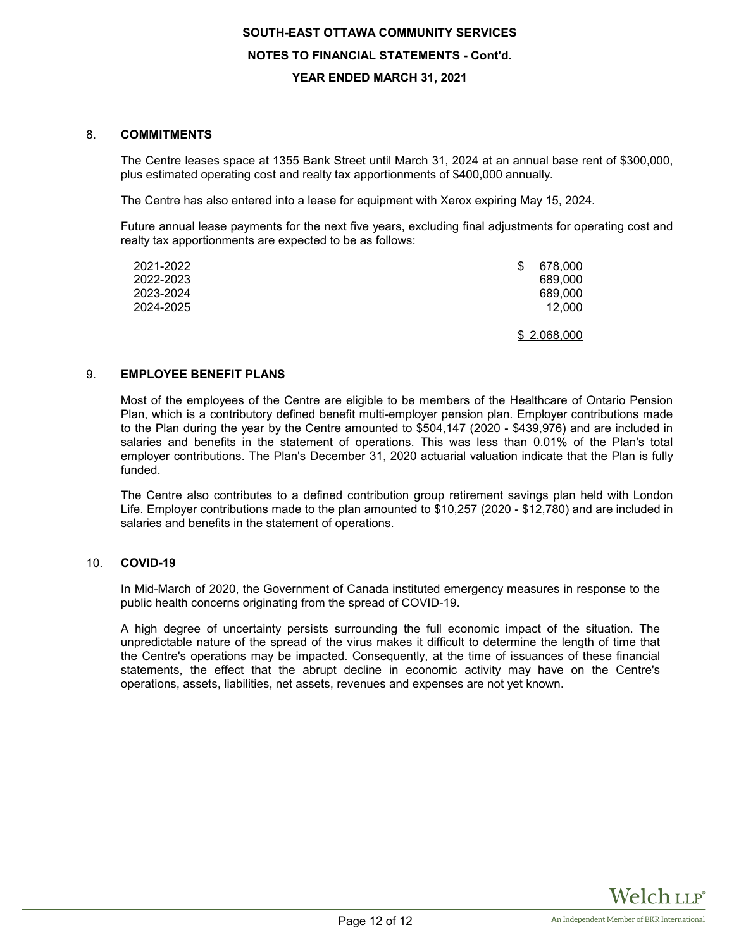## 8. **COMMITMENTS**

The Centre leases space at 1355 Bank Street until March 31, 2024 at an annual base rent of \$300,000, plus estimated operating cost and realty tax apportionments of \$400,000 annually.

The Centre has also entered into a lease for equipment with Xerox expiring May 15, 2024.

Future annual lease payments for the next five years, excluding final adjustments for operating cost and realty tax apportionments are expected to be as follows:

| 2021-2022<br>2022-2023<br>2023-2024<br>2024-2025 | 678,000<br>S<br>689,000<br>689,000<br>12,000 |
|--------------------------------------------------|----------------------------------------------|
|                                                  | \$2,068,000                                  |

## 9. **EMPLOYEE BENEFIT PLANS**

Most of the employees of the Centre are eligible to be members of the Healthcare of Ontario Pension Plan, which is a contributory defined benefit multi-employer pension plan. Employer contributions made to the Plan during the year by the Centre amounted to \$504,147 (2020 - \$439,976) and are included in salaries and benefits in the statement of operations. This was less than 0.01% of the Plan's total employer contributions. The Plan's December 31, 2020 actuarial valuation indicate that the Plan is fully funded.

The Centre also contributes to a defined contribution group retirement savings plan held with London Life. Employer contributions made to the plan amounted to \$10,257 (2020 - \$12,780) and are included in salaries and benefits in the statement of operations.

# 10. **COVID-19**

In Mid-March of 2020, the Government of Canada instituted emergency measures in response to the public health concerns originating from the spread of COVID-19.

A high degree of uncertainty persists surrounding the full economic impact of the situation. The unpredictable nature of the spread of the virus makes it difficult to determine the length of time that the Centre's operations may be impacted. Consequently, at the time of issuances of these financial statements, the effect that the abrupt decline in economic activity may have on the Centre's operations, assets, liabilities, net assets, revenues and expenses are not yet known.

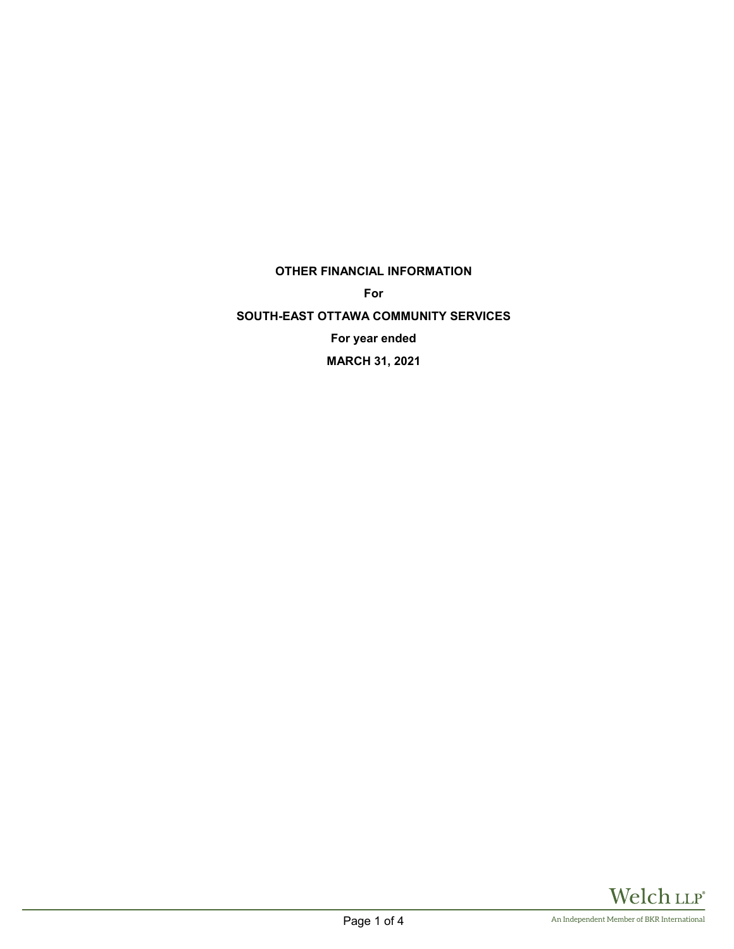**OTHER FINANCIAL INFORMATION**

**For**

**SOUTH-EAST OTTAWA COMMUNITY SERVICES For year ended MARCH 31, 2021**

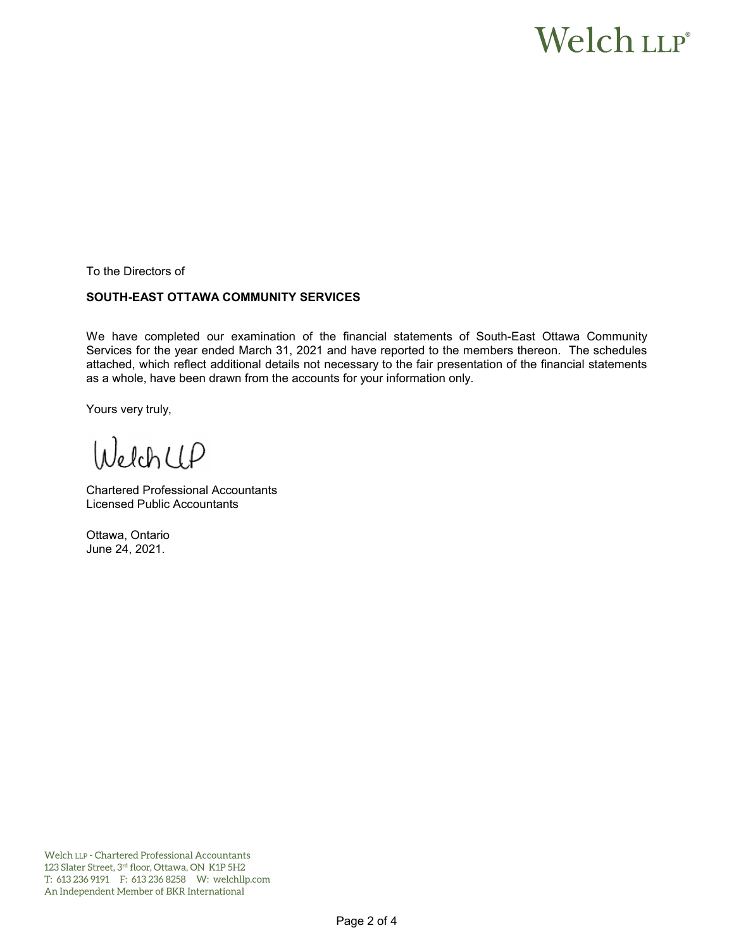# Welch LLP®

To the Directors of

# **SOUTH-EAST OTTAWA COMMUNITY SERVICES**

We have completed our examination of the financial statements of South-East Ottawa Community Services for the year ended March 31, 2021 and have reported to the members thereon. The schedules attached, which reflect additional details not necessary to the fair presentation of the financial statements as a whole, have been drawn from the accounts for your information only.

Yours very truly,

WelchCLP

Chartered Professional Accountants Licensed Public Accountants

Ottawa, Ontario June 24, 2021.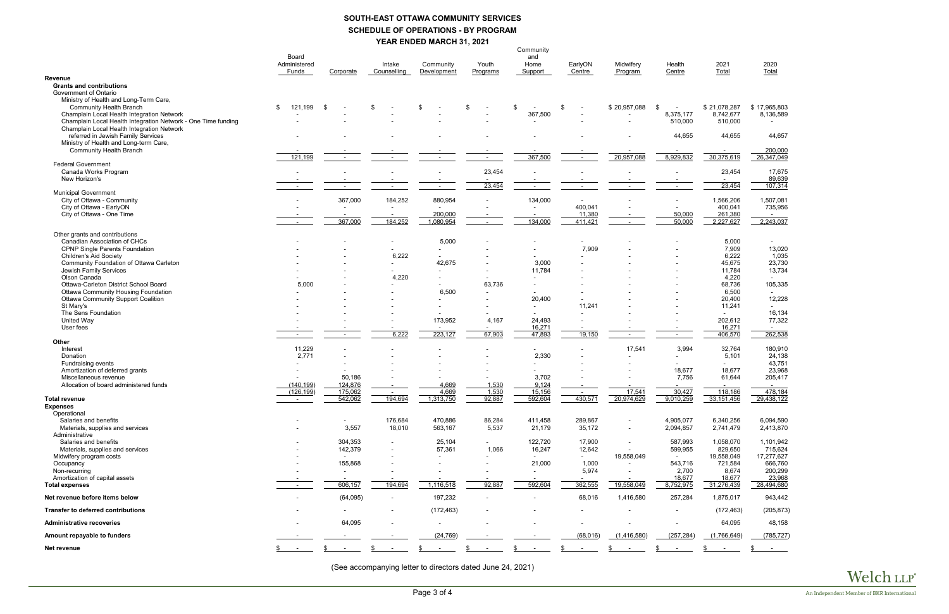# **SOUTH-EAST OTTAWA COMMUNITY SERVICES SCHEDULE OF OPERATIONS - BY PROGRAM YEAR ENDED MARCH 31, 2021**

|                                                                                  |                          |                          |                          |                                    |          | Community                |                  |                          |            |                       |                      |
|----------------------------------------------------------------------------------|--------------------------|--------------------------|--------------------------|------------------------------------|----------|--------------------------|------------------|--------------------------|------------|-----------------------|----------------------|
|                                                                                  | Board<br>Administered    |                          | Intake                   | Community                          | Youth    | and<br>Home              | EarlyON          | Midwifery                | Health     | 2021                  | 2020                 |
|                                                                                  | Funds                    | Corporate                | Counselling              | Development                        | Programs | Support                  | Centre           | Program                  | Centre     | Total                 | Total                |
| Revenue                                                                          |                          |                          |                          |                                    |          |                          |                  |                          |            |                       |                      |
| <b>Grants and contributions</b><br>Government of Ontario                         |                          |                          |                          |                                    |          |                          |                  |                          |            |                       |                      |
| Ministry of Health and Long-Term Care,<br><b>Community Health Branch</b>         | 121,199<br>\$            | - \$                     | \$                       | \$                                 | \$       | \$                       | \$               | \$20,957,088             | \$         | \$21,078,287          | \$17,965,803         |
| Champlain Local Health Integration Network                                       |                          |                          |                          |                                    |          | 367,500                  |                  |                          | 8,375,177  | 8,742,677             | 8,136,589            |
| Champlain Local Health Integration Network - One Time funding                    |                          |                          |                          |                                    |          | $\blacksquare$           |                  |                          | 510,000    | 510,000               | $\sim$               |
| Champlain Local Health Integration Network<br>referred in Jewish Family Services |                          |                          |                          |                                    |          |                          |                  |                          | 44,655     | 44,655                | 44,657               |
| Ministry of Health and Long-term Care,                                           |                          |                          |                          |                                    |          |                          |                  |                          |            |                       |                      |
| <b>Community Health Branch</b>                                                   |                          |                          |                          |                                    |          |                          |                  |                          |            |                       | 200,000              |
|                                                                                  | 121,199                  | $\overline{\phantom{a}}$ | $\overline{\phantom{a}}$ | $\sim$                             |          | 367,500                  | $\sim$           | 20,957,088               | 8,929,832  | 30,375,619            | 26,347,049           |
| <b>Federal Government</b>                                                        |                          |                          |                          |                                    |          |                          |                  |                          |            |                       |                      |
| Canada Works Program<br>New Horizon's                                            |                          |                          |                          |                                    | 23,454   |                          |                  |                          |            | 23,454<br>$\sim$      | 17,675<br>89,639     |
|                                                                                  |                          |                          |                          |                                    | 23,454   |                          |                  |                          |            | 23,454                | 107,314              |
| <b>Municipal Government</b>                                                      |                          |                          |                          |                                    |          |                          |                  |                          |            |                       |                      |
| City of Ottawa - Community                                                       |                          | 367,000                  | 184,252                  | 880,954                            |          | 134,000                  |                  |                          |            | 1,566,206             | 1,507,081            |
| City of Ottawa - EarlyON                                                         |                          |                          |                          |                                    |          |                          | 400,041          |                          |            | 400,041               | 735,956              |
| City of Ottawa - One Time                                                        |                          |                          |                          | 200,000                            |          |                          | 11,380           |                          | 50,000     | 261,380               | $\sim$               |
|                                                                                  |                          | 367,000                  | 184,252                  | 1,080,954                          |          | 134,000                  | 411,421          |                          | 50,000     | 2,227,627             | 2,243,037            |
| Other grants and contributions                                                   |                          |                          |                          |                                    |          |                          |                  |                          |            |                       |                      |
| <b>Canadian Association of CHCs</b>                                              |                          |                          | $\overline{\phantom{a}}$ | 5,000                              |          |                          |                  |                          |            | 5,000                 | $\sim$               |
| <b>CPNP Single Parents Foundation</b>                                            |                          |                          |                          |                                    |          |                          | 7,909            |                          |            | 7,909                 | 13,020               |
| <b>Children's Aid Society</b>                                                    |                          |                          | 6,222                    | $\blacksquare$                     |          |                          |                  |                          |            | 6,222                 | 1,035                |
| Community Foundation of Ottawa Carleton<br>Jewish Family Services                |                          |                          |                          | 42,675<br>$\overline{\phantom{a}}$ |          | 3,000<br>11,784          |                  |                          |            | 45,675<br>11,784      | 23,730<br>13,734     |
| Olson Canada                                                                     |                          |                          | 4,220                    |                                    |          |                          |                  |                          |            | 4,220                 |                      |
| Ottawa-Carleton District School Board                                            | 5,000                    |                          |                          |                                    | 63,736   |                          |                  |                          |            | 68,736                | 105,335              |
| <b>Ottawa Community Housing Foundation</b>                                       |                          |                          |                          | 6,500                              |          |                          |                  |                          |            | 6,500                 |                      |
| <b>Ottawa Community Support Coalition</b>                                        |                          |                          |                          |                                    |          | 20,400                   |                  |                          |            | 20,400                | 12,228               |
| St Mary's                                                                        |                          |                          |                          |                                    |          | $\sim$                   | 11,241           |                          |            | 11,241                |                      |
| The Sens Foundation<br>United Way                                                |                          |                          |                          | 173,952                            | 4,167    | 24,493                   |                  |                          |            | $\sim$<br>202,612     | 16,134<br>77,322     |
| User fees                                                                        |                          |                          |                          |                                    |          | 16,271                   |                  |                          |            | 16,271                |                      |
|                                                                                  |                          |                          | 6,222                    | 223,127                            | 67,903   | 47,893                   | 19,150           |                          |            | 406,570               | 262,538              |
| Other                                                                            |                          |                          |                          |                                    |          |                          |                  |                          |            |                       |                      |
| Interest                                                                         | 11,229                   |                          |                          |                                    |          |                          |                  | 17,541                   | 3,994      | 32,764                | 180,910              |
| Donation                                                                         | 2,771                    |                          |                          |                                    |          | 2,330                    |                  |                          |            | 5,101                 | 24,138               |
| Fundraising events<br>Amortization of deferred grants                            |                          |                          |                          |                                    |          |                          |                  |                          | 18,677     | $\sim$<br>18,677      | 43,751<br>23,968     |
| Miscellaneous revenue                                                            |                          | 50,186                   |                          |                                    |          | 3,702                    |                  |                          | 7,756      | 61,644                | 205,417              |
| Allocation of board administered funds                                           | (140, 199)               | 124,876                  |                          | 4,669                              | 1,530    | 9,124                    |                  |                          |            |                       | $\sim$               |
|                                                                                  | (126, 199)               | 175,062                  |                          | 4,669                              | 1,530    | 15,156                   |                  | 17,541                   | 30,427     | 118,186               | 478,184              |
| <b>Total revenue</b><br><b>Expenses</b>                                          | $\sim$                   | 542,062                  | 194,694                  | 1,313,750                          | 92,887   | 592,604                  | 430,571          | 20,974,629               | 9,010,259  | 33, 151, 456          | 29,438,122           |
| Operational                                                                      |                          |                          |                          |                                    |          |                          |                  |                          |            |                       |                      |
| Salaries and benefits                                                            |                          |                          | 176,684                  | 470,886                            | 86,284   | 411,458                  | 289,867          |                          | 4,905,077  | 6,340,256             | 6,094,590            |
| Materials, supplies and services                                                 | $\blacksquare$           | 3,557                    | 18,010                   | 563,167                            | 5,537    | 21,179                   | 35,172           | $\overline{\phantom{a}}$ | 2,094,857  | 2,741,479             | 2,413,870            |
| Administrative                                                                   |                          |                          |                          |                                    |          |                          |                  |                          |            |                       |                      |
| Salaries and benefits                                                            |                          | 304,353                  |                          | 25,104                             | $\sim$   | 122,720                  | 17,900           | $\overline{\phantom{a}}$ | 587,993    | 1,058,070             | 1,101,942<br>715,624 |
| Materials, supplies and services<br>Midwifery program costs                      |                          | 142,379                  |                          | 57,361                             | 1,066    | 16,247                   | 12,642<br>$\sim$ | 19,558,049               | 599,955    | 829,650<br>19,558,049 | 17,277,627           |
| Occupancy                                                                        |                          | 155,868                  |                          |                                    |          | 21,000                   | 1,000            |                          | 543,716    | 721,584               | 666,760              |
| Non-recurring                                                                    |                          | $\blacksquare$           | $\overline{\phantom{a}}$ |                                    |          | $\overline{\phantom{a}}$ | 5,974            |                          | 2,700      | 8,674                 | 200,299              |
| Amortization of capital assets                                                   |                          |                          |                          |                                    |          |                          |                  |                          | 18,677     | 18,677                | 23,968               |
| <b>Total expenses</b>                                                            | $\overline{\phantom{a}}$ | 606,157                  | 194,694                  | 1,116,518                          | 92,887   | 592,604                  | 362,555          | 19,558,049               | 8,752,975  | 31,276,439            | 28,494,680           |
| Net revenue before items below                                                   |                          | (64,095)                 | $\overline{\phantom{a}}$ | 197,232                            |          |                          | 68,016           | 1,416,580                | 257,284    | 1,875,017             | 943,442              |
| <b>Transfer to deferred contributions</b>                                        |                          |                          |                          | (172, 463)                         |          |                          |                  |                          |            | (172, 463)            | (205, 873)           |
| <b>Administrative recoveries</b>                                                 |                          | 64,095                   |                          |                                    |          |                          |                  |                          |            | 64,095                | 48,158               |
| Amount repayable to funders                                                      |                          |                          |                          | (24, 769)                          |          |                          | (68, 016)        | (1,416,580)              | (257, 284) | (1,766,649)           | (785, 727)           |
| Net revenue                                                                      |                          | $\sim$                   |                          | $\sim$                             |          |                          |                  |                          |            |                       |                      |

(See accompanying letter to directors dated June 24, 2021)

| 2021<br><b>Total</b>                                                              | 2020<br><u>Total</u>                                                             |  |  |  |  |  |
|-----------------------------------------------------------------------------------|----------------------------------------------------------------------------------|--|--|--|--|--|
|                                                                                   |                                                                                  |  |  |  |  |  |
| \$21,078,287<br>8,742,677<br>510,000                                              | \$17,965,803<br>8,136,589                                                        |  |  |  |  |  |
| 44,655                                                                            | 44,657                                                                           |  |  |  |  |  |
| 30,375,619                                                                        | 200,000<br>26,347,049                                                            |  |  |  |  |  |
| 23,454                                                                            | 17,675                                                                           |  |  |  |  |  |
| 23,454                                                                            | 89,639<br>107,314                                                                |  |  |  |  |  |
| 1,566,206<br>400,041<br><u>261,380</u><br>2,227,627                               | 1,507,081<br>735,956<br>2,243,037                                                |  |  |  |  |  |
| 5,000<br>7,909<br>6,222<br>45,675<br>11,784<br>4,220<br>68,736<br>6,500<br>20,400 | 13,020<br>1,035<br>23,730<br>13,734<br>105,335<br>12,228                         |  |  |  |  |  |
| 11,241<br>202,612<br>16,271                                                       | 16,134<br>77,322                                                                 |  |  |  |  |  |
| 406,570                                                                           | 262,538                                                                          |  |  |  |  |  |
| 32,764<br>5,101                                                                   | 180,910<br>24,138<br>43,751                                                      |  |  |  |  |  |
| 18,677<br>61,644                                                                  | 23,968<br>205,417                                                                |  |  |  |  |  |
| 118,186<br>33,151,456                                                             | 478,184<br>29,438,122                                                            |  |  |  |  |  |
| 6,340,256<br>2,741,479                                                            | 6,094,590<br>2,413,870                                                           |  |  |  |  |  |
| 1,058,070<br>829,650<br>19,558,049<br>721,584<br>8,674<br>18,677<br>31,276,439    | 1,101,942<br>715,624<br>17,277,627<br>666,760<br>200,299<br>23,968<br>28,494,680 |  |  |  |  |  |
| 1,875,017                                                                         | 943,442                                                                          |  |  |  |  |  |
| (172, 463)                                                                        | (205,873)                                                                        |  |  |  |  |  |
| 64,095                                                                            | 48,158                                                                           |  |  |  |  |  |
| (1,766,649)                                                                       | (785, 727)                                                                       |  |  |  |  |  |
| \$                                                                                | \$                                                                               |  |  |  |  |  |